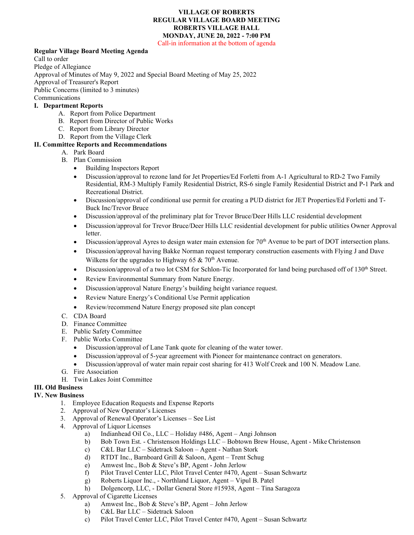## **VILLAGE OF ROBERTS REGULAR VILLAGE BOARD MEETING ROBERTS VILLAGE HALL MONDAY, JUNE 20, 2022 - 7:00 PM**

Call-in information at the bottom of agenda

## **Regular Village Board Meeting Agenda**

Call to order Pledge of Allegiance Approval of Minutes of May 9, 2022 and Special Board Meeting of May 25, 2022 Approval of Treasurer's Report Public Concerns (limited to 3 minutes) Communications

### **I. Department Reports**

- A. Report from Police Department
- B. Report from Director of Public Works
- C. Report from Library Director
- D. Report from the Village Clerk

# **II. Committee Reports and Recommendations**

- A. Park Board
	- B. Plan Commission
		- Building Inspectors Report
		- Discussion/approval to rezone land for Jet Properties/Ed Forletti from A-1 Agricultural to RD-2 Two Family Residential, RM-3 Multiply Family Residential District, RS-6 single Family Residential District and P-1 Park and Recreational District.
		- Discussion/approval of conditional use permit for creating a PUD district for JET Properties/Ed Forletti and T-Buck Inc/Trevor Bruce
		- Discussion/approval of the preliminary plat for Trevor Bruce/Deer Hills LLC residential development
		- Discussion/approval for Trevor Bruce/Deer Hills LLC residential development for public utilities Owner Approval letter.
		- Discussion/approval Ayres to design water main extension for 70<sup>th</sup> Avenue to be part of DOT intersection plans.
		- Discussion/approval having Bakke Norman request temporary construction easements with Flying J and Dave Wilkens for the upgrades to Highway 65 &  $70<sup>th</sup>$  Avenue.
		- Discussion/approval of a two lot CSM for Schlon-Tic Incorporated for land being purchased off of  $130<sup>th</sup>$  Street.
		- Review Environmental Summary from Nature Energy.
		- Discussion/approval Nature Energy's building height variance request.
		- Review Nature Energy's Conditional Use Permit application
		- Review/recommend Nature Energy proposed site plan concept
	- C. CDA Board
	- D. Finance Committee
	- E. Public Safety Committee
	- F. Public Works Committee
		- Discussion/approval of Lane Tank quote for cleaning of the water tower.
		- Discussion/approval of 5-year agreement with Pioneer for maintenance contract on generators.
		- Discussion/approval of water main repair cost sharing for 413 Wolf Creek and 100 N. Meadow Lane.
	- G. Fire Association
	- H. Twin Lakes Joint Committee

# **III. Old Business**

- **IV. New Business**
	- 1. Employee Education Requests and Expense Reports
	- 2. Approval of New Operator's Licenses
	- 3. Approval of Renewal Operator's Licenses See List
	- 4. Approval of Liquor Licenses
		- a) Indianhead Oil Co., LLC Holiday #486, Agent Angi Johnson
		- b) Bob Town Est. Christenson Holdings LLC Bobtown Brew House, Agent Mike Christenson
		- c) C&L Bar LLC Sidetrack Saloon Agent Nathan Stork
		- d) RTDT Inc., Barnboard Grill & Saloon, Agent Trent Schug
		- e) Amwest Inc., Bob & Steve's BP, Agent John Jerlow
		- f) Pilot Travel Center LLC, Pilot Travel Center #470, Agent Susan Schwartz
		- g) Roberts Liquor Inc., Northland Liquor, Agent Vipul B. Patel
		- h) Dolgencorp, LLC, Dollar General Store #15938, Agent Tina Saragoza
	- 5. Approval of Cigarette Licenses
		- a) Amwest Inc., Bob & Steve's BP, Agent John Jerlow
		- b) C&L Bar LLC Sidetrack Saloon
		- c) Pilot Travel Center LLC, Pilot Travel Center #470, Agent Susan Schwartz